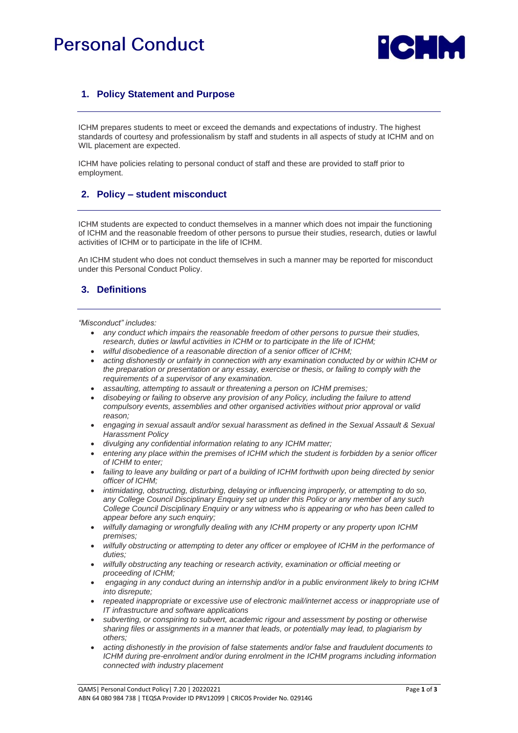# **Personal Conduct**



# **1. Policy Statement and Purpose**

ICHM prepares students to meet or exceed the demands and expectations of industry. The highest standards of courtesy and professionalism by staff and students in all aspects of study at ICHM and on WIL placement are expected.

ICHM have policies relating to personal conduct of staff and these are provided to staff prior to employment.

#### **2. Policy – student misconduct**

ICHM students are expected to conduct themselves in a manner which does not impair the functioning of ICHM and the reasonable freedom of other persons to pursue their studies, research, duties or lawful activities of ICHM or to participate in the life of ICHM.

An ICHM student who does not conduct themselves in such a manner may be reported for misconduct under this Personal Conduct Policy.

## **3. Definitions**

*"Misconduct" includes:* 

- *any conduct which impairs the reasonable freedom of other persons to pursue their studies, research, duties or lawful activities in ICHM or to participate in the life of ICHM;*
- *wilful disobedience of a reasonable direction of a senior officer of ICHM;*
- *acting dishonestly or unfairly in connection with any examination conducted by or within ICHM or the preparation or presentation or any essay, exercise or thesis, or failing to comply with the requirements of a supervisor of any examination.*
- *assaulting, attempting to assault or threatening a person on ICHM premises;*
- *disobeying or failing to observe any provision of any Policy, including the failure to attend compulsory events, assemblies and other organised activities without prior approval or valid reason;*
- *engaging in sexual assault and/or sexual harassment as defined in the Sexual Assault & Sexual Harassment Policy*
- *divulging any confidential information relating to any ICHM matter;*
- *entering any place within the premises of ICHM which the student is forbidden by a senior officer of ICHM to enter;*
- *failing to leave any building or part of a building of ICHM forthwith upon being directed by senior officer of ICHM;*
- *intimidating, obstructing, disturbing, delaying or influencing improperly, or attempting to do so, any College Council Disciplinary Enquiry set up under this Policy or any member of any such College Council Disciplinary Enquiry or any witness who is appearing or who has been called to appear before any such enquiry;*
- *wilfully damaging or wrongfully dealing with any ICHM property or any property upon ICHM premises;*
- *wilfully obstructing or attempting to deter any officer or employee of ICHM in the performance of duties;*
- *wilfully obstructing any teaching or research activity, examination or official meeting or proceeding of ICHM;*
- *engaging in any conduct during an internship and/or in a public environment likely to bring ICHM into disrepute;*
- *repeated inappropriate or excessive use of electronic mail/internet access or inappropriate use of IT infrastructure and software applications*
- *subverting, or conspiring to subvert, academic rigour and assessment by posting or otherwise sharing files or assignments in a manner that leads, or potentially may lead, to plagiarism by others;*
- *acting dishonestly in the provision of false statements and/or false and fraudulent documents to ICHM during pre-enrolment and/or during enrolment in the ICHM programs including information connected with industry placement*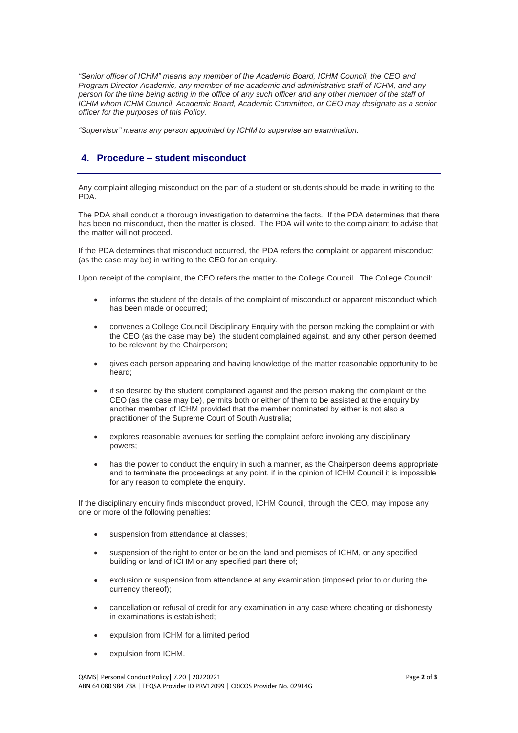*"Senior officer of ICHM" means any member of the Academic Board, ICHM Council, the CEO and Program Director Academic, any member of the academic and administrative staff of ICHM, and any person for the time being acting in the office of any such officer and any other member of the staff of ICHM whom ICHM Council, Academic Board, Academic Committee, or CEO may designate as a senior officer for the purposes of this Policy.*

*"Supervisor" means any person appointed by ICHM to supervise an examination.*

### **4. Procedure – student misconduct**

Any complaint alleging misconduct on the part of a student or students should be made in writing to the PDA.

The PDA shall conduct a thorough investigation to determine the facts. If the PDA determines that there has been no misconduct, then the matter is closed. The PDA will write to the complainant to advise that the matter will not proceed.

If the PDA determines that misconduct occurred, the PDA refers the complaint or apparent misconduct (as the case may be) in writing to the CEO for an enquiry.

Upon receipt of the complaint, the CEO refers the matter to the College Council. The College Council:

- informs the student of the details of the complaint of misconduct or apparent misconduct which has been made or occurred;
- convenes a College Council Disciplinary Enquiry with the person making the complaint or with the CEO (as the case may be), the student complained against, and any other person deemed to be relevant by the Chairperson;
- gives each person appearing and having knowledge of the matter reasonable opportunity to be heard;
- if so desired by the student complained against and the person making the complaint or the CEO (as the case may be), permits both or either of them to be assisted at the enquiry by another member of ICHM provided that the member nominated by either is not also a practitioner of the Supreme Court of South Australia;
- explores reasonable avenues for settling the complaint before invoking any disciplinary powers;
- has the power to conduct the enquiry in such a manner, as the Chairperson deems appropriate and to terminate the proceedings at any point, if in the opinion of ICHM Council it is impossible for any reason to complete the enquiry.

If the disciplinary enquiry finds misconduct proved, ICHM Council, through the CEO, may impose any one or more of the following penalties:

- suspension from attendance at classes:
- suspension of the right to enter or be on the land and premises of ICHM, or any specified building or land of ICHM or any specified part there of;
- exclusion or suspension from attendance at any examination (imposed prior to or during the currency thereof);
- cancellation or refusal of credit for any examination in any case where cheating or dishonesty in examinations is established;
- expulsion from ICHM for a limited period
- expulsion from ICHM.